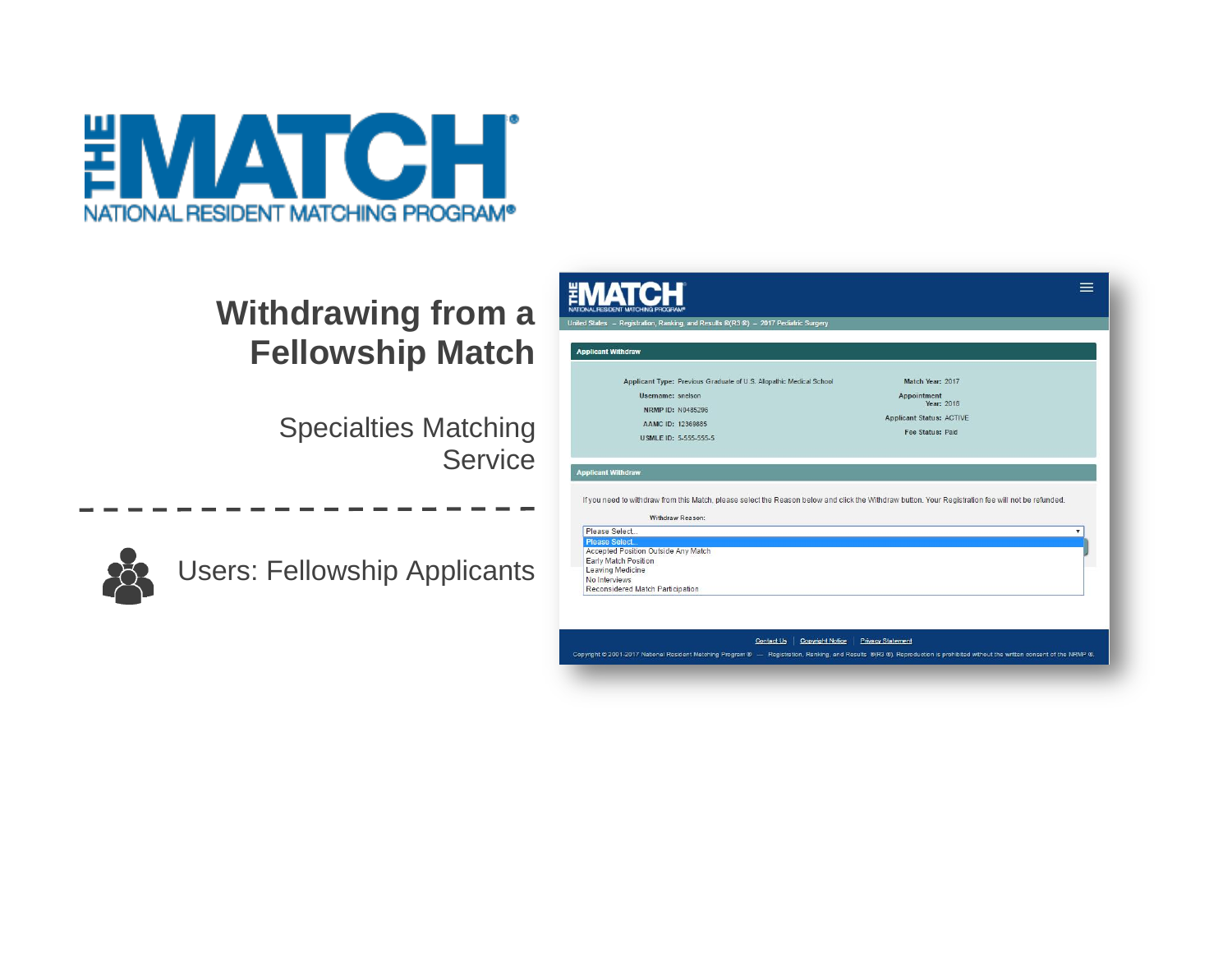

## **Withdrawing from a Fellowship Match**

Specialties Matching **Service** 



Users: Fellowship Applicants

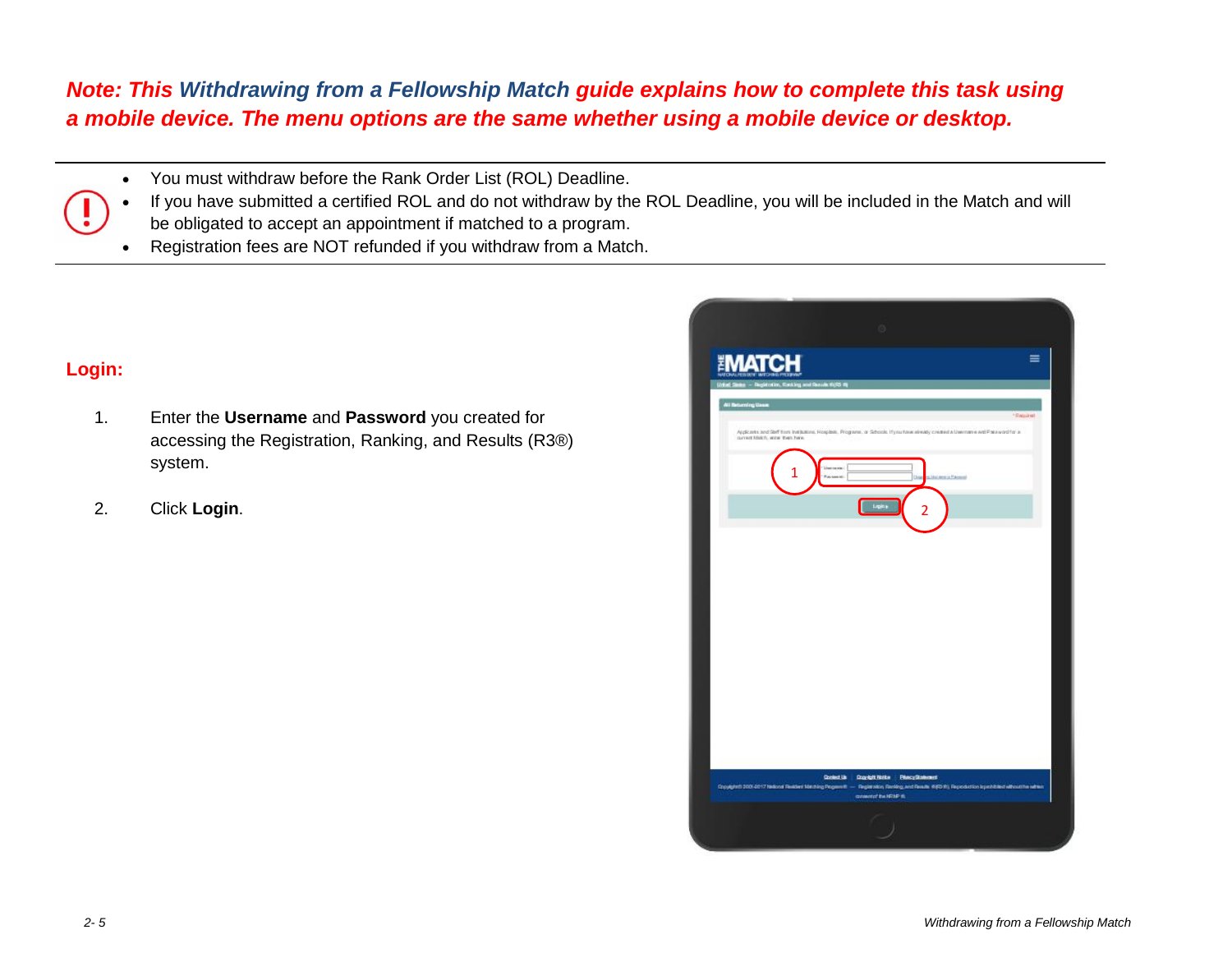## *Note: This Withdrawing from a Fellowship Match guide explains how to complete this task using a mobile device. The menu options are the same whether using a mobile device or desktop.*

You must withdraw before the Rank Order List (ROL) Deadline.

 If you have submitted a certified ROL and do not withdraw by the ROL Deadline, you will be included in the Match and will be obligated to accept an appointment if matched to a program.

Registration fees are NOT refunded if you withdraw from a Match.

## **Login:**

- 1. Enter the **Username** and **Password** you created for accessing the Registration, Ranking, and Results (R3®) system.
- 2. Click **Login**.

| $\odot$                                                                                                                                                                                                                           |
|-----------------------------------------------------------------------------------------------------------------------------------------------------------------------------------------------------------------------------------|
| ≡<br><b>ATCH</b><br>india, Rasking and Russie K(R) &                                                                                                                                                                              |
| <b>All Beturning Users</b><br>- Raguind<br>Applicants and Staff from Institutions. Riceplate. Programs, or Schools. Hyderbaw already created a Uwername and Pairsword for a<br>current Match, why then here.                      |
| Lines on your<br>1<br>Union<br>silki, tenis Yasmal                                                                                                                                                                                |
| Ligina                                                                                                                                                                                                                            |
|                                                                                                                                                                                                                                   |
|                                                                                                                                                                                                                                   |
|                                                                                                                                                                                                                                   |
|                                                                                                                                                                                                                                   |
|                                                                                                                                                                                                                                   |
| <b>Context List</b><br><b>Crocket Hotke PhecyStalement</b><br>CopylgleD 2001-2017 Nelsond Realded Matching Pegeenth - Reglaration Renking and Reader #(RD #), Repediction Ispechibled without the admin<br>consented the NRSP IS. |
|                                                                                                                                                                                                                                   |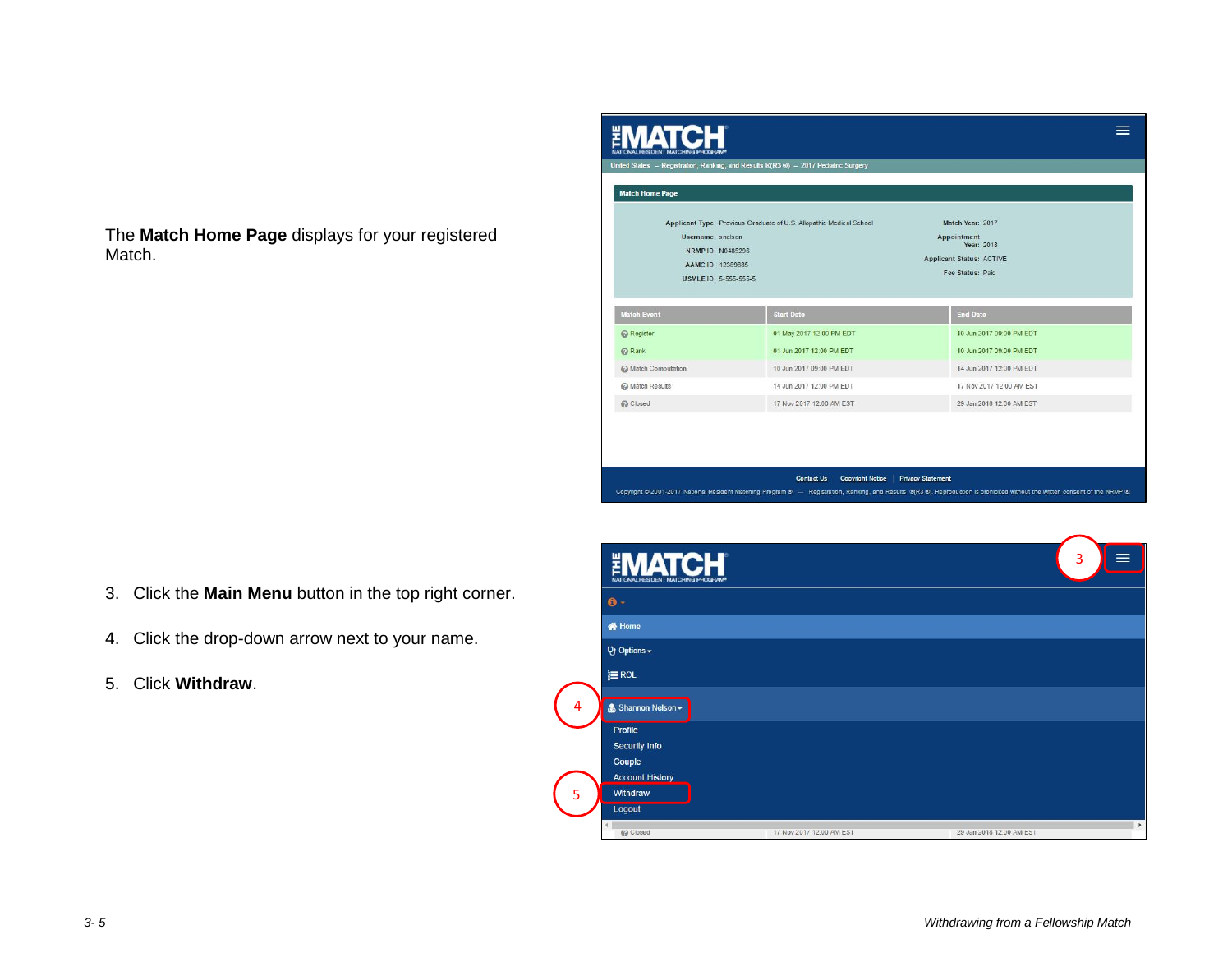The **Match Home Page** displays for your registered Match.



- 3. Click the **Main Menu** button in the top right corner.
- 4. Click the drop-down arrow next to your name.
- 5. Click **Withdraw**.

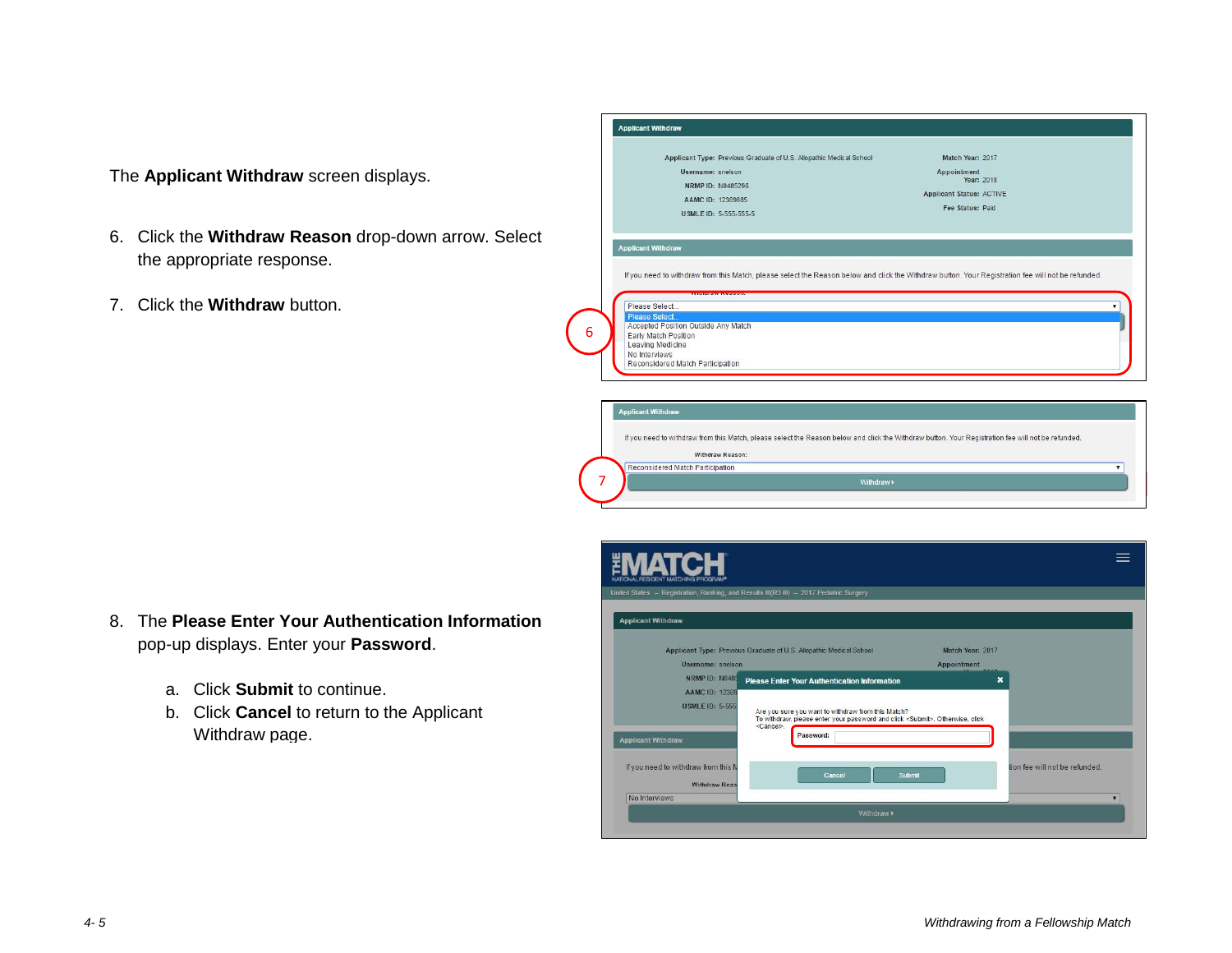The **Applicant Withdraw** screen displays.

- the appropriate response. 6. Click the **Withdraw Reason** drop-down arrow. Select
- 7. Click the **Withdraw** button.

| Applicant Type: Previous Graduate of U.S. Allopathic Medical School<br>Username: snelson<br>NRMP ID: N0485296<br>AAMC ID: 12369885<br>USMLE ID: 5-555-555-5                                                                                                                                                                         | Match Year: 2017<br>Appointment<br>Year: 2018<br><b>Applicant Status: ACTIVE</b><br>Fee Status: Paid |  |
|-------------------------------------------------------------------------------------------------------------------------------------------------------------------------------------------------------------------------------------------------------------------------------------------------------------------------------------|------------------------------------------------------------------------------------------------------|--|
| <b>Applicant Withdraw</b>                                                                                                                                                                                                                                                                                                           |                                                                                                      |  |
| If you need to withdraw from this Match, please select the Reason below and click the Withdraw button. Your Registration fee will not be refunded.<br>Please Select<br><b>Please Select</b><br>Accepted Position Outside Any Match<br>Early Match Position<br>Leaving Medicine<br>No Interviews<br>Reconsidered Match Participation |                                                                                                      |  |

8. The **Please Enter Your Authentication Information** pop-up displays. Enter your **Password**.

7

Reconsidered Match Participation

- a. Click **Submit** to continue.
- b. Click **Cancel** to return to the Applicant Withdraw page.

| United States - Registration, Ranking, and Results ®(R3 ®) - 2017 Pediatric Surgery |                                                                                                                                                                    |                                |
|-------------------------------------------------------------------------------------|--------------------------------------------------------------------------------------------------------------------------------------------------------------------|--------------------------------|
| <b>Applicant Withdraw</b>                                                           |                                                                                                                                                                    |                                |
|                                                                                     | Applicant Type: Previous Graduate of U.S. Allopathic Medical School                                                                                                | Match Year: 2017               |
| Username: snelson                                                                   |                                                                                                                                                                    | <b>Appointment</b>             |
| <b>NRMP ID: N0485</b>                                                               | <b>Please Enter Your Authentication Information</b>                                                                                                                | $\boldsymbol{\mathsf{x}}$      |
| <b>AAMC ID: 12369</b>                                                               |                                                                                                                                                                    |                                |
| <b>USMLE ID: 5-555</b>                                                              | Are you sure you want to withdraw from this Match?<br>To withdraw, please enter your password and click <submit>. Otherwise, click<br/><cancel>.</cancel></submit> |                                |
| <b>Applicant Withdraw</b>                                                           | Password:                                                                                                                                                          |                                |
| If you need to withdraw from this N                                                 | Cancel<br>Submit                                                                                                                                                   | tion fee will not be refunded. |
| <b>Withdraw Reas</b>                                                                |                                                                                                                                                                    |                                |
| No Interviews                                                                       |                                                                                                                                                                    | v                              |
|                                                                                     | Withdraw»                                                                                                                                                          |                                |
|                                                                                     |                                                                                                                                                                    |                                |

Withdraw »